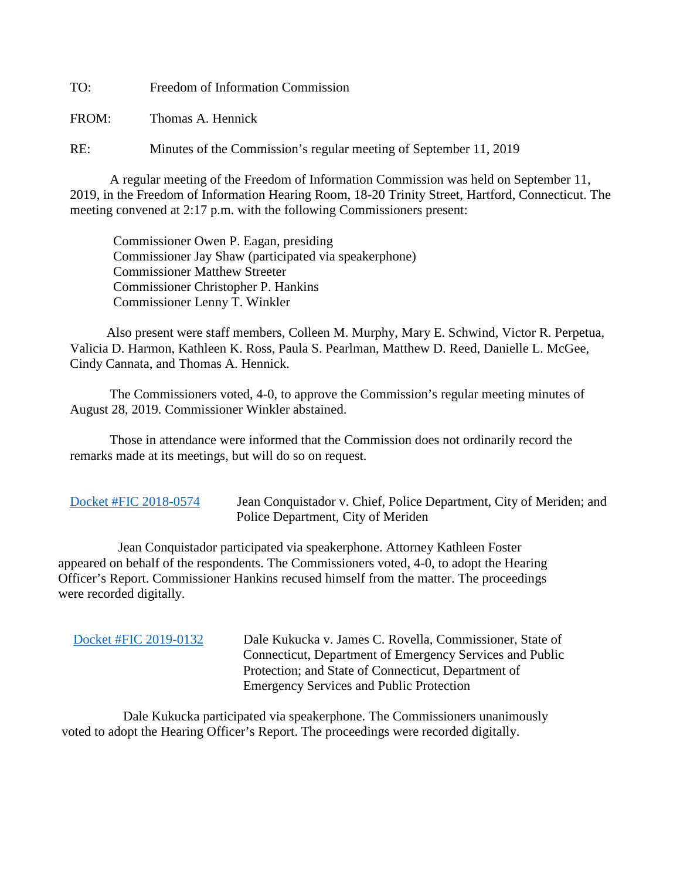TO: Freedom of Information Commission

FROM: Thomas A. Hennick

RE: Minutes of the Commission's regular meeting of September 11, 2019

A regular meeting of the Freedom of Information Commission was held on September 11, 2019, in the Freedom of Information Hearing Room, 18-20 Trinity Street, Hartford, Connecticut. The meeting convened at 2:17 p.m. with the following Commissioners present:

 Commissioner Owen P. Eagan, presiding Commissioner Jay Shaw (participated via speakerphone) Commissioner Matthew Streeter Commissioner Christopher P. Hankins Commissioner Lenny T. Winkler

 Also present were staff members, Colleen M. Murphy, Mary E. Schwind, Victor R. Perpetua, Valicia D. Harmon, Kathleen K. Ross, Paula S. Pearlman, Matthew D. Reed, Danielle L. McGee, Cindy Cannata, and Thomas A. Hennick.

The Commissioners voted, 4-0, to approve the Commission's regular meeting minutes of August 28, 2019. Commissioner Winkler abstained.

 Those in attendance were informed that the Commission does not ordinarily record the remarks made at its meetings, but will do so on request.

[Docket #FIC 2018-0574](https://portal.ct.gov/-/media/FOI/FinalDecisions/2019/Sept11/2018-0574.pdf?la=en) Jean Conquistador v. Chief, Police Department, City of Meriden; and Police Department, City of Meriden

 Jean Conquistador participated via speakerphone. Attorney Kathleen Foster appeared on behalf of the respondents. The Commissioners voted, 4-0, to adopt the Hearing Officer's Report. Commissioner Hankins recused himself from the matter. The proceedings were recorded digitally.

 [Docket #FIC 2019-0132](https://portal.ct.gov/-/media/FOI/FinalDecisions/2019/Sept11/2019-0132.pdf?la=en) Dale Kukucka v. James C. Rovella, Commissioner, State of Connecticut, Department of Emergency Services and Public Protection; and State of Connecticut, Department of Emergency Services and Public Protection

 Dale Kukucka participated via speakerphone. The Commissioners unanimously voted to adopt the Hearing Officer's Report. The proceedings were recorded digitally.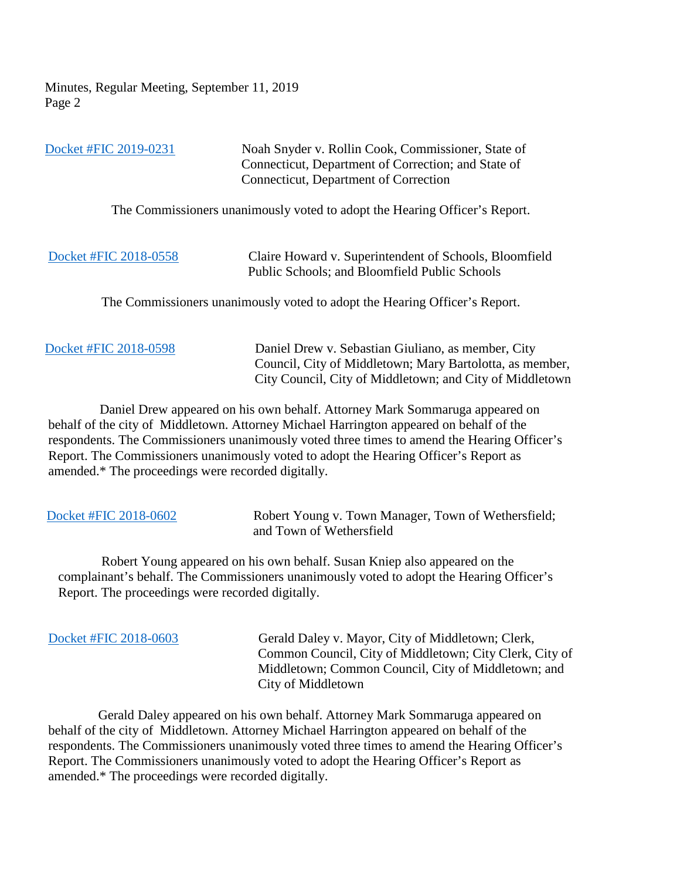| Docket #FIC 2019-0231 | Noah Snyder v. Rollin Cook, Commissioner, State of<br>Connecticut, Department of Correction; and State of<br>Connecticut, Department of Correction |
|-----------------------|----------------------------------------------------------------------------------------------------------------------------------------------------|
|                       | The Commissioners unanimously voted to adopt the Hearing Officer's Report.                                                                         |
| Docket #FIC 2018-0558 | Claire Howard v. Superintendent of Schools, Bloomfield<br>Public Schools; and Bloomfield Public Schools                                            |
|                       | The Commissioners unanimously voted to adopt the Hearing Officer's Report.                                                                         |
| Docket #FIC 2018-0598 | Daniel Drew v. Sebastian Giuliano, as member, City                                                                                                 |

 Daniel Drew appeared on his own behalf. Attorney Mark Sommaruga appeared on behalf of the city of Middletown. Attorney Michael Harrington appeared on behalf of the respondents. The Commissioners unanimously voted three times to amend the Hearing Officer's Report. The Commissioners unanimously voted to adopt the Hearing Officer's Report as amended.\* The proceedings were recorded digitally.

 Council, City of Middletown; Mary Bartolotta, as member, City Council, City of Middletown; and City of Middletown

| Docket #FIC 2018-0602                            | Robert Young v. Town Manager, Town of Wethersfield;<br>and Town of Wethersfield          |
|--------------------------------------------------|------------------------------------------------------------------------------------------|
|                                                  | Robert Young appeared on his own behalf. Susan Kniep also appeared on the                |
|                                                  | complainant's behalf. The Commissioners unanimously voted to adopt the Hearing Officer's |
| Report. The proceedings were recorded digitally. |                                                                                          |

[Docket #FIC 2018-0603](https://portal.ct.gov/-/media/FOI/FinalDecisions/2019/Sept11/2018-0603.pdf?la=en) Gerald Daley v. Mayor, City of Middletown; Clerk, Common Council, City of Middletown; City Clerk, City of Middletown; Common Council, City of Middletown; and City of Middletown

 Gerald Daley appeared on his own behalf. Attorney Mark Sommaruga appeared on behalf of the city of Middletown. Attorney Michael Harrington appeared on behalf of the respondents. The Commissioners unanimously voted three times to amend the Hearing Officer's Report. The Commissioners unanimously voted to adopt the Hearing Officer's Report as amended.\* The proceedings were recorded digitally.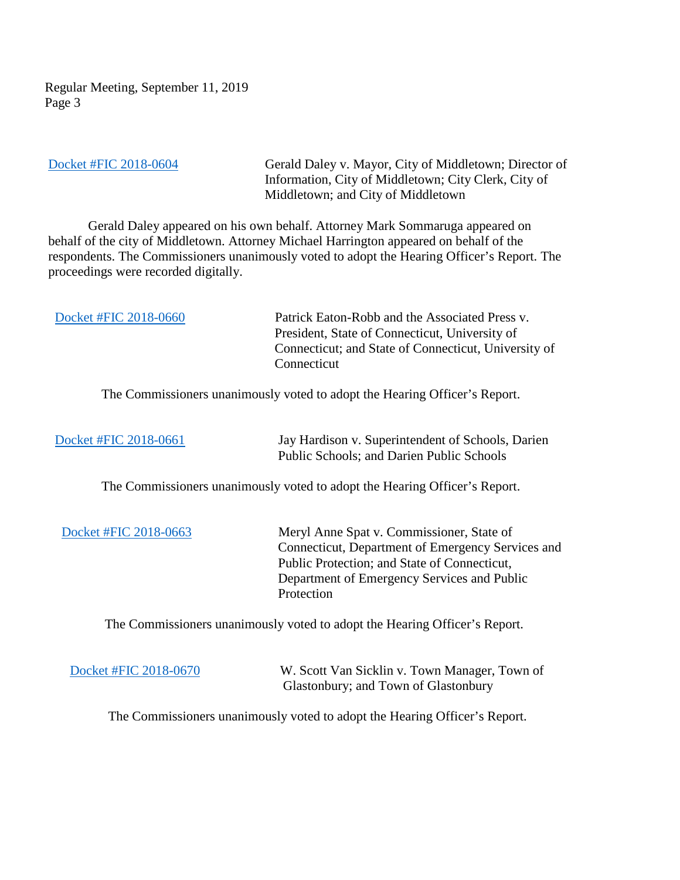Regular Meeting, September 11, 2019 Page 3

[Docket #FIC 2018-0604](https://portal.ct.gov/-/media/FOI/FinalDecisions/2019/Sept11/2018-0604.pdf?la=en) Gerald Daley v. Mayor, City of Middletown; Director of Information, City of Middletown; City Clerk, City of Middletown; and City of Middletown

 Gerald Daley appeared on his own behalf. Attorney Mark Sommaruga appeared on behalf of the city of Middletown. Attorney Michael Harrington appeared on behalf of the respondents. The Commissioners unanimously voted to adopt the Hearing Officer's Report. The proceedings were recorded digitally.

| Docket #FIC 2018-0660 | Patrick Eaton-Robb and the Associated Press v.       |
|-----------------------|------------------------------------------------------|
|                       | President, State of Connecticut, University of       |
|                       | Connecticut; and State of Connecticut, University of |
|                       | Connecticut                                          |

The Commissioners unanimously voted to adopt the Hearing Officer's Report.

 [Docket #FIC 2018-0661](https://portal.ct.gov/-/media/FOI/FinalDecisions/2019/Sept11/2018-0661.pdf?la=en) Jay Hardison v. Superintendent of Schools, Darien Public Schools; and Darien Public Schools

The Commissioners unanimously voted to adopt the Hearing Officer's Report.

 [Docket #FIC 2018-0663](https://portal.ct.gov/-/media/FOI/FinalDecisions/2019/Sept11/2018-0663.pdf?la=en) Meryl Anne Spat v. Commissioner, State of Connecticut, Department of Emergency Services and Public Protection; and State of Connecticut, Department of Emergency Services and Public Protection

The Commissioners unanimously voted to adopt the Hearing Officer's Report.

[Docket #FIC 2018-0670](https://portal.ct.gov/-/media/FOI/FinalDecisions/2019/Sept11/2018-0670.pdf?la=en) W. Scott Van Sicklin v. Town Manager, Town of Glastonbury; and Town of Glastonbury

The Commissioners unanimously voted to adopt the Hearing Officer's Report.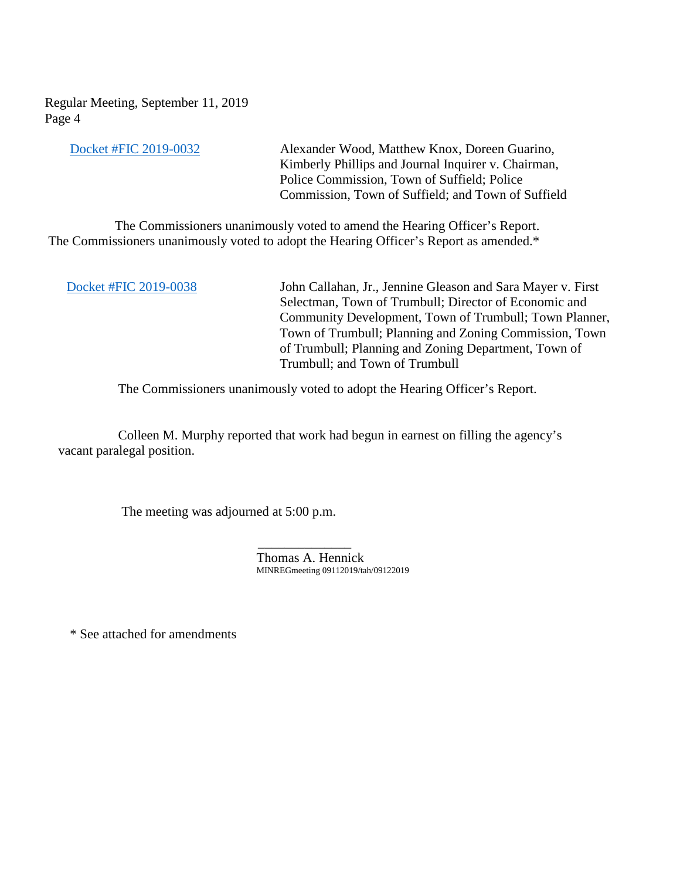Regular Meeting, September 11, 2019 Page 4

[Docket #FIC 2019-0032](https://portal.ct.gov/-/media/FOI/FinalDecisions/2019/Sept11/2019-0032.pdf?la=en) Alexander Wood, Matthew Knox, Doreen Guarino, Kimberly Phillips and Journal Inquirer v. Chairman, Police Commission, Town of Suffield; Police Commission, Town of Suffield; and Town of Suffield

 The Commissioners unanimously voted to amend the Hearing Officer's Report. The Commissioners unanimously voted to adopt the Hearing Officer's Report as amended.\*

 [Docket #FIC 2019-0038](https://portal.ct.gov/-/media/FOI/FinalDecisions/2019/Sept11/2019-0038.pdf?la=en) John Callahan, Jr., Jennine Gleason and Sara Mayer v. First Selectman, Town of Trumbull; Director of Economic and Community Development, Town of Trumbull; Town Planner, Town of Trumbull; Planning and Zoning Commission, Town of Trumbull; Planning and Zoning Department, Town of Trumbull; and Town of Trumbull

The Commissioners unanimously voted to adopt the Hearing Officer's Report.

 Colleen M. Murphy reported that work had begun in earnest on filling the agency's vacant paralegal position.

The meeting was adjourned at 5:00 p.m.

 $\mathcal{L}_\text{max}$  , which is a set of the set of the set of the set of the set of the set of the set of the set of the set of the set of the set of the set of the set of the set of the set of the set of the set of the set of

Thomas A. Hennick MINREGmeeting 09112019/tah/09122019

\* See attached for amendments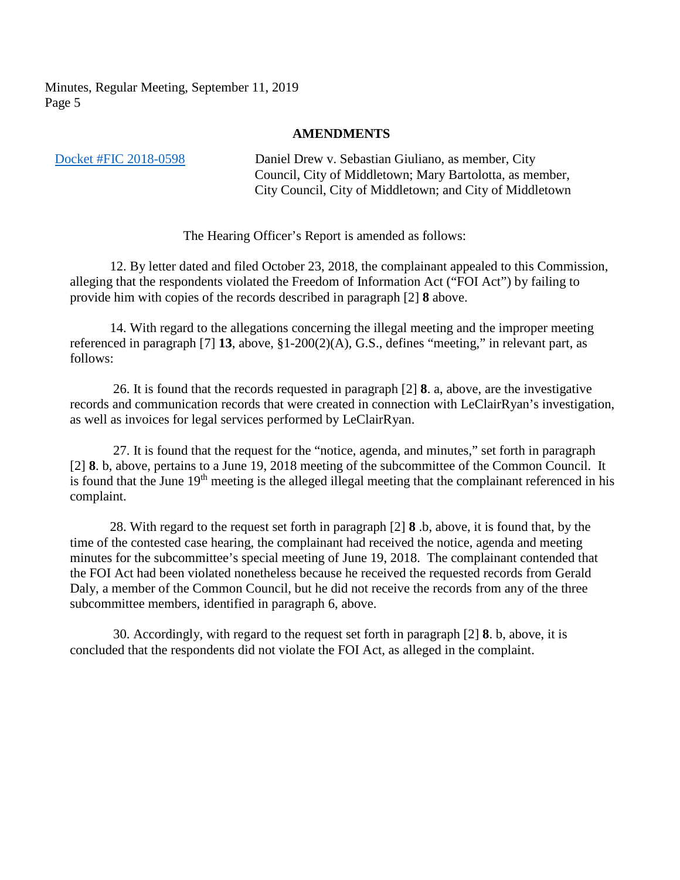## **AMENDMENTS**

 [Docket #FIC 2018-0598](https://portal.ct.gov/-/media/FOI/FinalDecisions/2019/Sept11/2018-0598.pdf?la=en) Daniel Drew v. Sebastian Giuliano, as member, City Council, City of Middletown; Mary Bartolotta, as member, City Council, City of Middletown; and City of Middletown

The Hearing Officer's Report is amended as follows:

12. By letter dated and filed October 23, 2018, the complainant appealed to this Commission, alleging that the respondents violated the Freedom of Information Act ("FOI Act") by failing to provide him with copies of the records described in paragraph [2] **8** above.

14. With regard to the allegations concerning the illegal meeting and the improper meeting referenced in paragraph [7] **13**, above, §1-200(2)(A), G.S., defines "meeting," in relevant part, as follows:

26. It is found that the records requested in paragraph [2] **8**. a, above, are the investigative records and communication records that were created in connection with LeClairRyan's investigation, as well as invoices for legal services performed by LeClairRyan.

27. It is found that the request for the "notice, agenda, and minutes," set forth in paragraph [2] **8**. b, above, pertains to a June 19, 2018 meeting of the subcommittee of the Common Council. It is found that the June 19<sup>th</sup> meeting is the alleged illegal meeting that the complainant referenced in his complaint.

28. With regard to the request set forth in paragraph [2] **8** .b, above, it is found that, by the time of the contested case hearing, the complainant had received the notice, agenda and meeting minutes for the subcommittee's special meeting of June 19, 2018. The complainant contended that the FOI Act had been violated nonetheless because he received the requested records from Gerald Daly, a member of the Common Council, but he did not receive the records from any of the three subcommittee members, identified in paragraph 6, above.

30. Accordingly, with regard to the request set forth in paragraph [2] **8**. b, above, it is concluded that the respondents did not violate the FOI Act, as alleged in the complaint.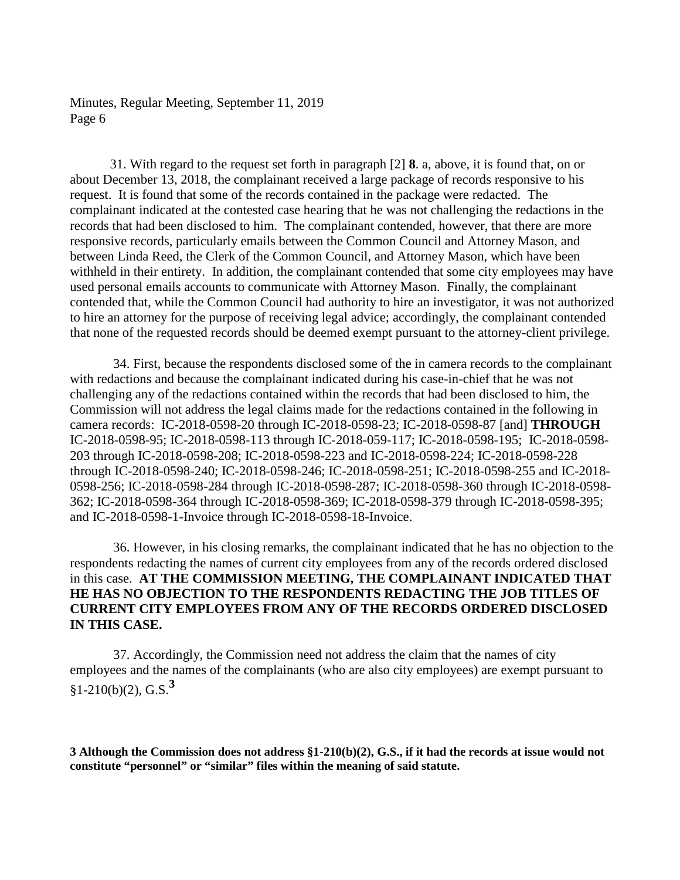31. With regard to the request set forth in paragraph [2] **8**. a, above, it is found that, on or about December 13, 2018, the complainant received a large package of records responsive to his request. It is found that some of the records contained in the package were redacted. The complainant indicated at the contested case hearing that he was not challenging the redactions in the records that had been disclosed to him. The complainant contended, however, that there are more responsive records, particularly emails between the Common Council and Attorney Mason, and between Linda Reed, the Clerk of the Common Council, and Attorney Mason, which have been withheld in their entirety. In addition, the complainant contended that some city employees may have used personal emails accounts to communicate with Attorney Mason. Finally, the complainant contended that, while the Common Council had authority to hire an investigator, it was not authorized to hire an attorney for the purpose of receiving legal advice; accordingly, the complainant contended that none of the requested records should be deemed exempt pursuant to the attorney-client privilege.

34. First, because the respondents disclosed some of the in camera records to the complainant with redactions and because the complainant indicated during his case-in-chief that he was not challenging any of the redactions contained within the records that had been disclosed to him, the Commission will not address the legal claims made for the redactions contained in the following in camera records: IC-2018-0598-20 through IC-2018-0598-23; IC-2018-0598-87 [and] **THROUGH** IC-2018-0598-95; IC-2018-0598-113 through IC-2018-059-117; IC-2018-0598-195; IC-2018-0598- 203 through IC-2018-0598-208; IC-2018-0598-223 and IC-2018-0598-224; IC-2018-0598-228 through IC-2018-0598-240; IC-2018-0598-246; IC-2018-0598-251; IC-2018-0598-255 and IC-2018- 0598-256; IC-2018-0598-284 through IC-2018-0598-287; IC-2018-0598-360 through IC-2018-0598- 362; IC-2018-0598-364 through IC-2018-0598-369; IC-2018-0598-379 through IC-2018-0598-395; and IC-2018-0598-1-Invoice through IC-2018-0598-18-Invoice.

36. However, in his closing remarks, the complainant indicated that he has no objection to the respondents redacting the names of current city employees from any of the records ordered disclosed in this case. **AT THE COMMISSION MEETING, THE COMPLAINANT INDICATED THAT HE HAS NO OBJECTION TO THE RESPONDENTS REDACTING THE JOB TITLES OF CURRENT CITY EMPLOYEES FROM ANY OF THE RECORDS ORDERED DISCLOSED IN THIS CASE.** 

37. Accordingly, the Commission need not address the claim that the names of city employees and the names of the complainants (who are also city employees) are exempt pursuant to §1-210(b)(2), G.S.**<sup>3</sup>**

**3 Although the Commission does not address §1-210(b)(2), G.S., if it had the records at issue would not constitute "personnel" or "similar" files within the meaning of said statute.**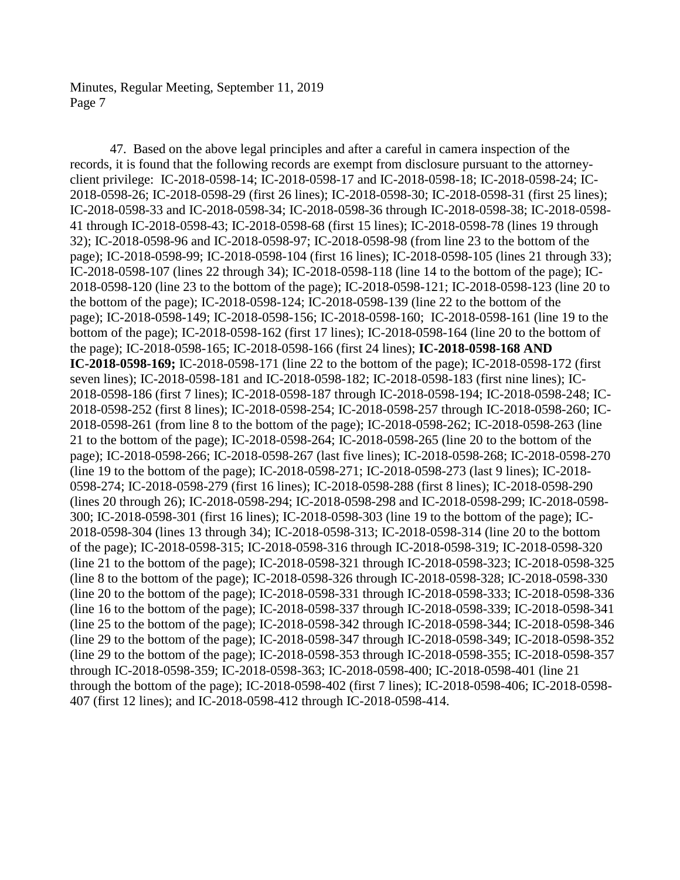47. Based on the above legal principles and after a careful in camera inspection of the records, it is found that the following records are exempt from disclosure pursuant to the attorneyclient privilege: IC-2018-0598-14; IC-2018-0598-17 and IC-2018-0598-18; IC-2018-0598-24; IC-2018-0598-26; IC-2018-0598-29 (first 26 lines); IC-2018-0598-30; IC-2018-0598-31 (first 25 lines); IC-2018-0598-33 and IC-2018-0598-34; IC-2018-0598-36 through IC-2018-0598-38; IC-2018-0598- 41 through IC-2018-0598-43; IC-2018-0598-68 (first 15 lines); IC-2018-0598-78 (lines 19 through 32); IC-2018-0598-96 and IC-2018-0598-97; IC-2018-0598-98 (from line 23 to the bottom of the page); IC-2018-0598-99; IC-2018-0598-104 (first 16 lines); IC-2018-0598-105 (lines 21 through 33); IC-2018-0598-107 (lines 22 through 34); IC-2018-0598-118 (line 14 to the bottom of the page); IC-2018-0598-120 (line 23 to the bottom of the page); IC-2018-0598-121; IC-2018-0598-123 (line 20 to the bottom of the page); IC-2018-0598-124; IC-2018-0598-139 (line 22 to the bottom of the page); IC-2018-0598-149; IC-2018-0598-156; IC-2018-0598-160; IC-2018-0598-161 (line 19 to the bottom of the page); IC-2018-0598-162 (first 17 lines); IC-2018-0598-164 (line 20 to the bottom of the page); IC-2018-0598-165; IC-2018-0598-166 (first 24 lines); **IC-2018-0598-168 AND IC-2018-0598-169;** IC-2018-0598-171 (line 22 to the bottom of the page); IC-2018-0598-172 (first seven lines); IC-2018-0598-181 and IC-2018-0598-182; IC-2018-0598-183 (first nine lines); IC-2018-0598-186 (first 7 lines); IC-2018-0598-187 through IC-2018-0598-194; IC-2018-0598-248; IC-2018-0598-252 (first 8 lines); IC-2018-0598-254; IC-2018-0598-257 through IC-2018-0598-260; IC-2018-0598-261 (from line 8 to the bottom of the page); IC-2018-0598-262; IC-2018-0598-263 (line 21 to the bottom of the page); IC-2018-0598-264; IC-2018-0598-265 (line 20 to the bottom of the page); IC-2018-0598-266; IC-2018-0598-267 (last five lines); IC-2018-0598-268; IC-2018-0598-270 (line 19 to the bottom of the page); IC-2018-0598-271; IC-2018-0598-273 (last 9 lines); IC-2018- 0598-274; IC-2018-0598-279 (first 16 lines); IC-2018-0598-288 (first 8 lines); IC-2018-0598-290 (lines 20 through 26); IC-2018-0598-294; IC-2018-0598-298 and IC-2018-0598-299; IC-2018-0598- 300; IC-2018-0598-301 (first 16 lines); IC-2018-0598-303 (line 19 to the bottom of the page); IC-2018-0598-304 (lines 13 through 34); IC-2018-0598-313; IC-2018-0598-314 (line 20 to the bottom of the page); IC-2018-0598-315; IC-2018-0598-316 through IC-2018-0598-319; IC-2018-0598-320 (line 21 to the bottom of the page); IC-2018-0598-321 through IC-2018-0598-323; IC-2018-0598-325 (line 8 to the bottom of the page); IC-2018-0598-326 through IC-2018-0598-328; IC-2018-0598-330 (line 20 to the bottom of the page); IC-2018-0598-331 through IC-2018-0598-333; IC-2018-0598-336 (line 16 to the bottom of the page); IC-2018-0598-337 through IC-2018-0598-339; IC-2018-0598-341 (line 25 to the bottom of the page); IC-2018-0598-342 through IC-2018-0598-344; IC-2018-0598-346 (line 29 to the bottom of the page); IC-2018-0598-347 through IC-2018-0598-349; IC-2018-0598-352 (line 29 to the bottom of the page); IC-2018-0598-353 through IC-2018-0598-355; IC-2018-0598-357 through IC-2018-0598-359; IC-2018-0598-363; IC-2018-0598-400; IC-2018-0598-401 (line 21 through the bottom of the page); IC-2018-0598-402 (first 7 lines); IC-2018-0598-406; IC-2018-0598- 407 (first 12 lines); and IC-2018-0598-412 through IC-2018-0598-414.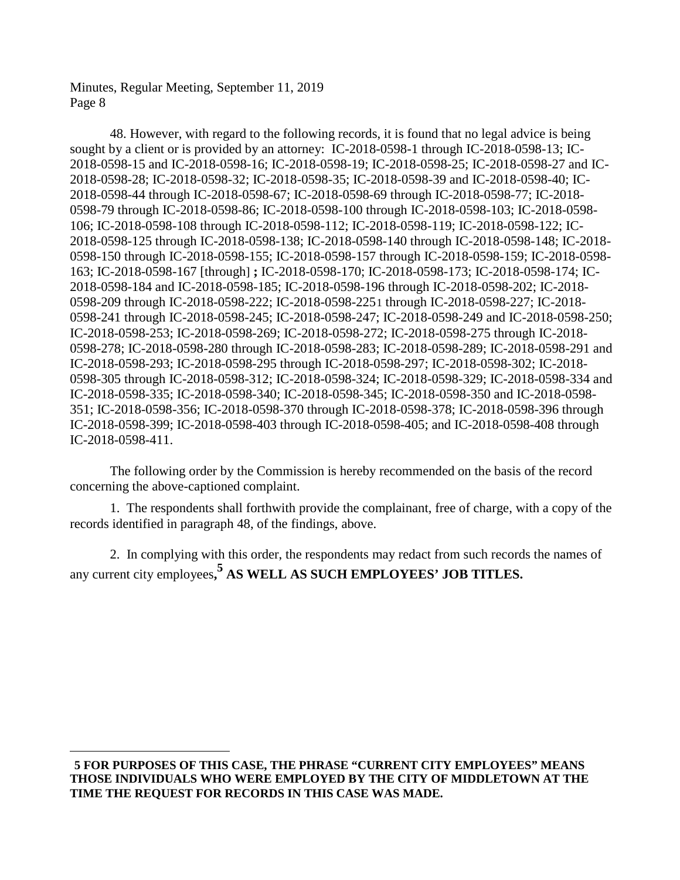$\overline{a}$ 

48. However, with regard to the following records, it is found that no legal advice is being sought by a client or is provided by an attorney: IC-2018-0598-1 through IC-2018-0598-13; IC-2018-0598-15 and IC-2018-0598-16; IC-2018-0598-19; IC-2018-0598-25; IC-2018-0598-27 and IC-2018-0598-28; IC-2018-0598-32; IC-2018-0598-35; IC-2018-0598-39 and IC-2018-0598-40; IC-2018-0598-44 through IC-2018-0598-67; IC-2018-0598-69 through IC-2018-0598-77; IC-2018- 0598-79 through IC-2018-0598-86; IC-2018-0598-100 through IC-2018-0598-103; IC-2018-0598- 106; IC-2018-0598-108 through IC-2018-0598-112; IC-2018-0598-119; IC-2018-0598-122; IC-2018-0598-125 through IC-2018-0598-138; IC-2018-0598-140 through IC-2018-0598-148; IC-2018- 0598-150 through IC-2018-0598-155; IC-2018-0598-157 through IC-2018-0598-159; IC-2018-0598- 163; IC-2018-0598-167 [through] **;** IC-2018-0598-170; IC-2018-0598-173; IC-2018-0598-174; IC-2018-0598-184 and IC-2018-0598-185; IC-2018-0598-196 through IC-2018-0598-202; IC-2018- 0598-209 through IC-2018-0598-222; IC-2018-0598-225[1](#page-7-0) through IC-2018-0598-227; IC-2018- 0598-241 through IC-2018-0598-245; IC-2018-0598-247; IC-2018-0598-249 and IC-2018-0598-250; IC-2018-0598-253; IC-2018-0598-269; IC-2018-0598-272; IC-2018-0598-275 through IC-2018- 0598-278; IC-2018-0598-280 through IC-2018-0598-283; IC-2018-0598-289; IC-2018-0598-291 and IC-2018-0598-293; IC-2018-0598-295 through IC-2018-0598-297; IC-2018-0598-302; IC-2018- 0598-305 through IC-2018-0598-312; IC-2018-0598-324; IC-2018-0598-329; IC-2018-0598-334 and IC-2018-0598-335; IC-2018-0598-340; IC-2018-0598-345; IC-2018-0598-350 and IC-2018-0598- 351; IC-2018-0598-356; IC-2018-0598-370 through IC-2018-0598-378; IC-2018-0598-396 through IC-2018-0598-399; IC-2018-0598-403 through IC-2018-0598-405; and IC-2018-0598-408 through IC-2018-0598-411.

The following order by the Commission is hereby recommended on the basis of the record concerning the above-captioned complaint.

1. The respondents shall forthwith provide the complainant, free of charge, with a copy of the records identified in paragraph 48, of the findings, above.

2. In complying with this order, the respondents may redact from such records the names of any current city employees**, <sup>5</sup> AS WELL AS SUCH EMPLOYEES' JOB TITLES.**

<span id="page-7-0"></span>**<sup>5</sup> FOR PURPOSES OF THIS CASE, THE PHRASE "CURRENT CITY EMPLOYEES" MEANS THOSE INDIVIDUALS WHO WERE EMPLOYED BY THE CITY OF MIDDLETOWN AT THE TIME THE REQUEST FOR RECORDS IN THIS CASE WAS MADE.**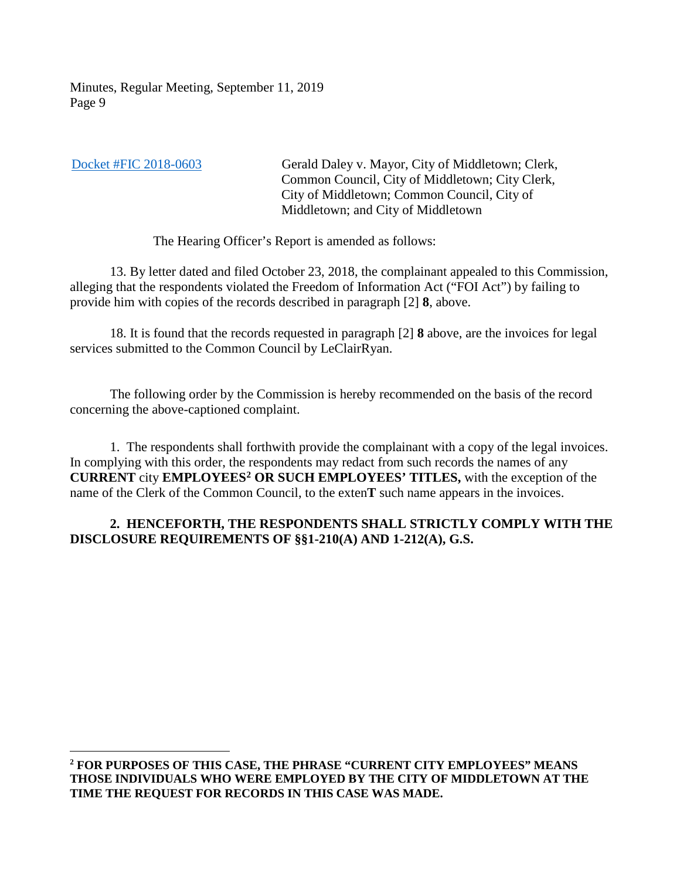$\overline{a}$ 

[Docket #FIC 2018-0603](https://portal.ct.gov/-/media/FOI/FinalDecisions/2019/Sept11/2018-0603.pdf?la=en) Gerald Daley v. Mayor, City of Middletown; Clerk, Common Council, City of Middletown; City Clerk, City of Middletown; Common Council, City of Middletown; and City of Middletown

The Hearing Officer's Report is amended as follows:

13. By letter dated and filed October 23, 2018, the complainant appealed to this Commission, alleging that the respondents violated the Freedom of Information Act ("FOI Act") by failing to provide him with copies of the records described in paragraph [2] **8**, above.

18. It is found that the records requested in paragraph [2] **8** above, are the invoices for legal services submitted to the Common Council by LeClairRyan.

The following order by the Commission is hereby recommended on the basis of the record concerning the above-captioned complaint.

1. The respondents shall forthwith provide the complainant with a copy of the legal invoices. In complying with this order, the respondents may redact from such records the names of any **CURRENT** city **EMPLOYEES[2](#page-8-0) OR SUCH EMPLOYEES' TITLES,** with the exception of the name of the Clerk of the Common Council, to the exten**T** such name appears in the invoices.

## **2. HENCEFORTH, THE RESPONDENTS SHALL STRICTLY COMPLY WITH THE DISCLOSURE REQUIREMENTS OF §§1-210(A) AND 1-212(A), G.S.**

<span id="page-8-0"></span>**<sup>2</sup> FOR PURPOSES OF THIS CASE, THE PHRASE "CURRENT CITY EMPLOYEES" MEANS THOSE INDIVIDUALS WHO WERE EMPLOYED BY THE CITY OF MIDDLETOWN AT THE TIME THE REQUEST FOR RECORDS IN THIS CASE WAS MADE.**